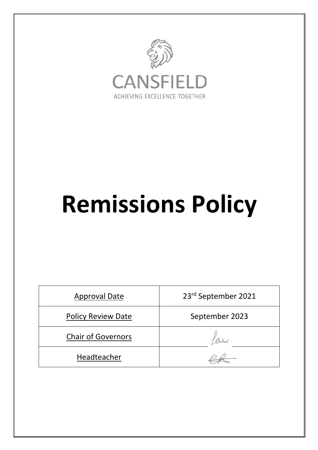

## **Remissions Policy**

| <b>Approval Date</b>      | 23rd September 2021 |
|---------------------------|---------------------|
| <b>Policy Review Date</b> | September 2023      |
| <b>Chair of Governors</b> |                     |
| Headteacher               |                     |